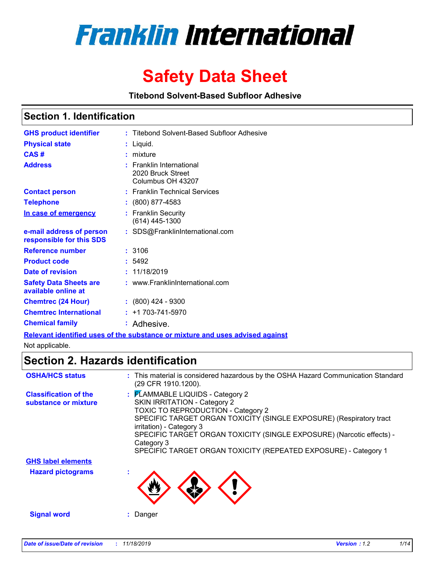

# **Safety Data Sheet**

**Titebond Solvent-Based Subfloor Adhesive**

### **Section 1. Identification**

| <b>GHS product identifier</b>                                                 |    | Titebond Solvent-Based Subfloor Adhesive                                |  |
|-------------------------------------------------------------------------------|----|-------------------------------------------------------------------------|--|
| <b>Physical state</b>                                                         |    | Liquid.                                                                 |  |
| CAS#                                                                          |    | : mixture                                                               |  |
| <b>Address</b>                                                                | t. | <b>Franklin International</b><br>2020 Bruck Street<br>Columbus OH 43207 |  |
| <b>Contact person</b>                                                         |    | : Franklin Technical Services                                           |  |
| <b>Telephone</b>                                                              |    | (800) 877-4583                                                          |  |
| In case of emergency                                                          |    | : Franklin Security<br>(614) 445-1300                                   |  |
| e-mail address of person<br>responsible for this SDS                          |    | : SDS@FranklinInternational.com                                         |  |
| <b>Reference number</b>                                                       |    | : 3106                                                                  |  |
| <b>Product code</b>                                                           |    | : 5492                                                                  |  |
| Date of revision                                                              |    | 11/18/2019                                                              |  |
| <b>Safety Data Sheets are</b><br>available online at                          |    | : www.FranklinInternational.com                                         |  |
| <b>Chemtrec (24 Hour)</b>                                                     |    | $: (800)$ 424 - 9300                                                    |  |
| <b>Chemtrec International</b>                                                 |    | $: +1703 - 741 - 5970$                                                  |  |
| <b>Chemical family</b>                                                        |    | : Adhesive.                                                             |  |
| Relevant identified uses of the substance or mixture and uses advised against |    |                                                                         |  |

Not applicable.

# **Section 2. Hazards identification**

| <b>OSHA/HCS status</b>                               | : This material is considered hazardous by the OSHA Hazard Communication Standard<br>(29 CFR 1910.1200).                                                                                                                                                                                                                                                                   |
|------------------------------------------------------|----------------------------------------------------------------------------------------------------------------------------------------------------------------------------------------------------------------------------------------------------------------------------------------------------------------------------------------------------------------------------|
| <b>Classification of the</b><br>substance or mixture | : FLAMMABLE LIQUIDS - Category 2<br><b>SKIN IRRITATION - Category 2</b><br>TOXIC TO REPRODUCTION - Category 2<br>SPECIFIC TARGET ORGAN TOXICITY (SINGLE EXPOSURE) (Respiratory tract<br>irritation) - Category 3<br>SPECIFIC TARGET ORGAN TOXICITY (SINGLE EXPOSURE) (Narcotic effects) -<br>Category 3<br>SPECIFIC TARGET ORGAN TOXICITY (REPEATED EXPOSURE) - Category 1 |
| <b>GHS label elements</b>                            |                                                                                                                                                                                                                                                                                                                                                                            |
| <b>Hazard pictograms</b>                             |                                                                                                                                                                                                                                                                                                                                                                            |
| <b>Signal word</b>                                   | : Danger                                                                                                                                                                                                                                                                                                                                                                   |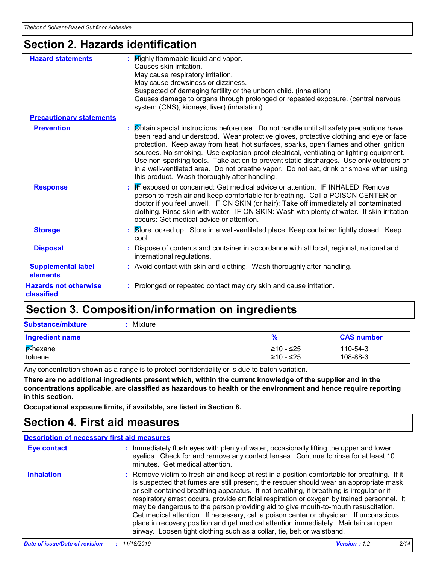## **Section 2. Hazards identification**

| <b>Hazard statements</b>                   | : $H$ ighly flammable liquid and vapor.<br>Causes skin irritation.<br>May cause respiratory irritation.<br>May cause drowsiness or dizziness.<br>Suspected of damaging fertility or the unborn child. (inhalation)<br>Causes damage to organs through prolonged or repeated exposure. (central nervous<br>system (CNS), kidneys, liver) (inhalation)                                                                                                                                                                                                                                                        |
|--------------------------------------------|-------------------------------------------------------------------------------------------------------------------------------------------------------------------------------------------------------------------------------------------------------------------------------------------------------------------------------------------------------------------------------------------------------------------------------------------------------------------------------------------------------------------------------------------------------------------------------------------------------------|
| <b>Precautionary statements</b>            |                                                                                                                                                                                                                                                                                                                                                                                                                                                                                                                                                                                                             |
| <b>Prevention</b>                          | : Øbtain special instructions before use. Do not handle until all safety precautions have<br>been read and understood. Wear protective gloves, protective clothing and eye or face<br>protection. Keep away from heat, hot surfaces, sparks, open flames and other ignition<br>sources. No smoking. Use explosion-proof electrical, ventilating or lighting equipment.<br>Use non-sparking tools. Take action to prevent static discharges. Use only outdoors or<br>in a well-ventilated area. Do not breathe vapor. Do not eat, drink or smoke when using<br>this product. Wash thoroughly after handling. |
| <b>Response</b>                            | : F exposed or concerned: Get medical advice or attention. IF INHALED: Remove<br>person to fresh air and keep comfortable for breathing. Call a POISON CENTER or<br>doctor if you feel unwell. IF ON SKIN (or hair): Take off immediately all contaminated<br>clothing. Rinse skin with water. IF ON SKIN: Wash with plenty of water. If skin irritation<br>occurs: Get medical advice or attention.                                                                                                                                                                                                        |
| <b>Storage</b>                             | : Store locked up. Store in a well-ventilated place. Keep container tightly closed. Keep<br>cool.                                                                                                                                                                                                                                                                                                                                                                                                                                                                                                           |
| <b>Disposal</b>                            | : Dispose of contents and container in accordance with all local, regional, national and<br>international regulations.                                                                                                                                                                                                                                                                                                                                                                                                                                                                                      |
| <b>Supplemental label</b><br>elements      | : Avoid contact with skin and clothing. Wash thoroughly after handling.                                                                                                                                                                                                                                                                                                                                                                                                                                                                                                                                     |
| <b>Hazards not otherwise</b><br>classified | : Prolonged or repeated contact may dry skin and cause irritation.                                                                                                                                                                                                                                                                                                                                                                                                                                                                                                                                          |

## **Section 3. Composition/information on ingredients**

| <b>Substance/mixture</b><br>Mixture |                         |                      |
|-------------------------------------|-------------------------|----------------------|
| Ingredient name                     | $\frac{9}{6}$           | <b>CAS number</b>    |
| <b>A-hexane</b><br>toluene          | l≥10 - ≤25<br>210 - ≤25 | 110-54-3<br>108-88-3 |

Any concentration shown as a range is to protect confidentiality or is due to batch variation.

**There are no additional ingredients present which, within the current knowledge of the supplier and in the concentrations applicable, are classified as hazardous to health or the environment and hence require reporting in this section.**

**Occupational exposure limits, if available, are listed in Section 8.**

### **Section 4. First aid measures**

#### **Description of necessary first aid measures**

| <b>Eye contact</b> | : Immediately flush eyes with plenty of water, occasionally lifting the upper and lower<br>eyelids. Check for and remove any contact lenses. Continue to rinse for at least 10<br>minutes. Get medical attention.                                                                                                                                                                                                                                                                                                                                                                                                                                                                                                                    |
|--------------------|--------------------------------------------------------------------------------------------------------------------------------------------------------------------------------------------------------------------------------------------------------------------------------------------------------------------------------------------------------------------------------------------------------------------------------------------------------------------------------------------------------------------------------------------------------------------------------------------------------------------------------------------------------------------------------------------------------------------------------------|
| <b>Inhalation</b>  | : Remove victim to fresh air and keep at rest in a position comfortable for breathing. If it<br>is suspected that fumes are still present, the rescuer should wear an appropriate mask<br>or self-contained breathing apparatus. If not breathing, if breathing is irregular or if<br>respiratory arrest occurs, provide artificial respiration or oxygen by trained personnel. It<br>may be dangerous to the person providing aid to give mouth-to-mouth resuscitation.<br>Get medical attention. If necessary, call a poison center or physician. If unconscious,<br>place in recovery position and get medical attention immediately. Maintain an open<br>airway. Loosen tight clothing such as a collar, tie, belt or waistband. |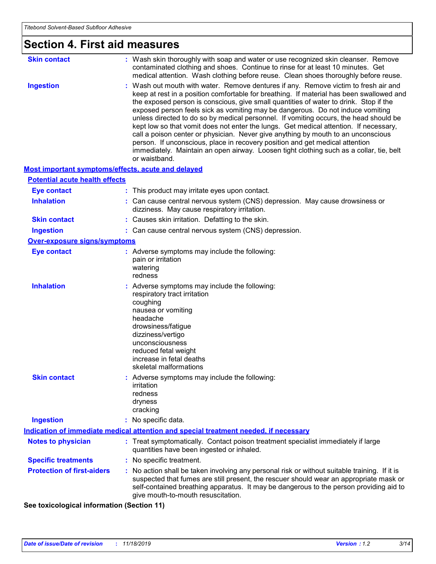| <b>Section 4. First aid measures</b>                                           |                                                                                                                                                                                                                                                                                                                                                                                                                                                                                                                                                                                                                                                                                                                                                                                                                               |
|--------------------------------------------------------------------------------|-------------------------------------------------------------------------------------------------------------------------------------------------------------------------------------------------------------------------------------------------------------------------------------------------------------------------------------------------------------------------------------------------------------------------------------------------------------------------------------------------------------------------------------------------------------------------------------------------------------------------------------------------------------------------------------------------------------------------------------------------------------------------------------------------------------------------------|
| <b>Skin contact</b>                                                            | : Wash skin thoroughly with soap and water or use recognized skin cleanser. Remove<br>contaminated clothing and shoes. Continue to rinse for at least 10 minutes. Get<br>medical attention. Wash clothing before reuse. Clean shoes thoroughly before reuse.                                                                                                                                                                                                                                                                                                                                                                                                                                                                                                                                                                  |
| <b>Ingestion</b>                                                               | : Wash out mouth with water. Remove dentures if any. Remove victim to fresh air and<br>keep at rest in a position comfortable for breathing. If material has been swallowed and<br>the exposed person is conscious, give small quantities of water to drink. Stop if the<br>exposed person feels sick as vomiting may be dangerous. Do not induce vomiting<br>unless directed to do so by medical personnel. If vomiting occurs, the head should be<br>kept low so that vomit does not enter the lungs. Get medical attention. If necessary,<br>call a poison center or physician. Never give anything by mouth to an unconscious<br>person. If unconscious, place in recovery position and get medical attention<br>immediately. Maintain an open airway. Loosen tight clothing such as a collar, tie, belt<br>or waistband. |
| Most important symptoms/effects, acute and delayed                             |                                                                                                                                                                                                                                                                                                                                                                                                                                                                                                                                                                                                                                                                                                                                                                                                                               |
| <b>Potential acute health effects</b>                                          |                                                                                                                                                                                                                                                                                                                                                                                                                                                                                                                                                                                                                                                                                                                                                                                                                               |
| <b>Eye contact</b>                                                             | : This product may irritate eyes upon contact.                                                                                                                                                                                                                                                                                                                                                                                                                                                                                                                                                                                                                                                                                                                                                                                |
| <b>Inhalation</b>                                                              | : Can cause central nervous system (CNS) depression. May cause drowsiness or<br>dizziness. May cause respiratory irritation.                                                                                                                                                                                                                                                                                                                                                                                                                                                                                                                                                                                                                                                                                                  |
| <b>Skin contact</b>                                                            | : Causes skin irritation. Defatting to the skin.                                                                                                                                                                                                                                                                                                                                                                                                                                                                                                                                                                                                                                                                                                                                                                              |
| <b>Ingestion</b>                                                               | : Can cause central nervous system (CNS) depression.                                                                                                                                                                                                                                                                                                                                                                                                                                                                                                                                                                                                                                                                                                                                                                          |
| <b>Over-exposure signs/symptoms</b>                                            |                                                                                                                                                                                                                                                                                                                                                                                                                                                                                                                                                                                                                                                                                                                                                                                                                               |
| <b>Eye contact</b>                                                             | : Adverse symptoms may include the following:<br>pain or irritation<br>watering<br>redness                                                                                                                                                                                                                                                                                                                                                                                                                                                                                                                                                                                                                                                                                                                                    |
| <b>Inhalation</b>                                                              | : Adverse symptoms may include the following:<br>respiratory tract irritation<br>coughing<br>nausea or vomiting<br>headache<br>drowsiness/fatigue<br>dizziness/vertigo<br>unconsciousness<br>reduced fetal weight<br>increase in fetal deaths<br>skeletal malformations                                                                                                                                                                                                                                                                                                                                                                                                                                                                                                                                                       |
| <b>Skin contact</b>                                                            | : Adverse symptoms may include the following:<br>irritation<br>redness<br>dryness<br>cracking                                                                                                                                                                                                                                                                                                                                                                                                                                                                                                                                                                                                                                                                                                                                 |
| <b>Ingestion</b>                                                               | : No specific data.                                                                                                                                                                                                                                                                                                                                                                                                                                                                                                                                                                                                                                                                                                                                                                                                           |
|                                                                                | Indication of immediate medical attention and special treatment needed, if necessary                                                                                                                                                                                                                                                                                                                                                                                                                                                                                                                                                                                                                                                                                                                                          |
| <b>Notes to physician</b>                                                      | : Treat symptomatically. Contact poison treatment specialist immediately if large<br>quantities have been ingested or inhaled.                                                                                                                                                                                                                                                                                                                                                                                                                                                                                                                                                                                                                                                                                                |
| <b>Specific treatments</b>                                                     | : No specific treatment.                                                                                                                                                                                                                                                                                                                                                                                                                                                                                                                                                                                                                                                                                                                                                                                                      |
| <b>Protection of first-aiders</b><br>Contovicological information (Cootion 44) | : No action shall be taken involving any personal risk or without suitable training. If it is<br>suspected that fumes are still present, the rescuer should wear an appropriate mask or<br>self-contained breathing apparatus. It may be dangerous to the person providing aid to<br>give mouth-to-mouth resuscitation.                                                                                                                                                                                                                                                                                                                                                                                                                                                                                                       |

**See toxicological information (Section 11)**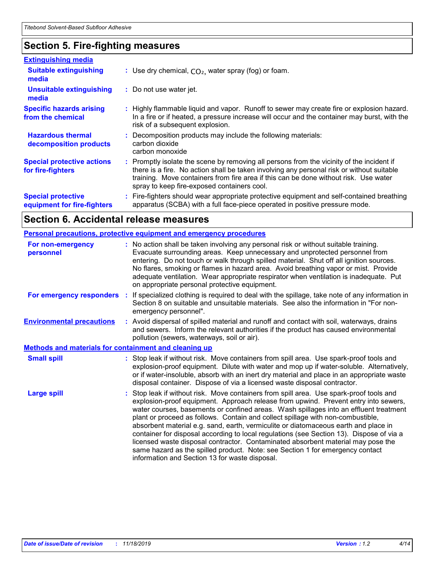### **Section 5. Fire-fighting measures**

| <b>Extinguishing media</b>                               |                                                                                                                                                                                                                                                                                                                               |
|----------------------------------------------------------|-------------------------------------------------------------------------------------------------------------------------------------------------------------------------------------------------------------------------------------------------------------------------------------------------------------------------------|
| <b>Suitable extinguishing</b><br>media                   | : Use dry chemical, $CO2$ , water spray (fog) or foam.                                                                                                                                                                                                                                                                        |
| <b>Unsuitable extinguishing</b><br>media                 | : Do not use water jet.                                                                                                                                                                                                                                                                                                       |
| <b>Specific hazards arising</b><br>from the chemical     | : Highly flammable liquid and vapor. Runoff to sewer may create fire or explosion hazard.<br>In a fire or if heated, a pressure increase will occur and the container may burst, with the<br>risk of a subsequent explosion.                                                                                                  |
| <b>Hazardous thermal</b><br>decomposition products       | Decomposition products may include the following materials:<br>carbon dioxide<br>carbon monoxide                                                                                                                                                                                                                              |
| <b>Special protective actions</b><br>for fire-fighters   | : Promptly isolate the scene by removing all persons from the vicinity of the incident if<br>there is a fire. No action shall be taken involving any personal risk or without suitable<br>training. Move containers from fire area if this can be done without risk. Use water<br>spray to keep fire-exposed containers cool. |
| <b>Special protective</b><br>equipment for fire-fighters | Fire-fighters should wear appropriate protective equipment and self-contained breathing<br>apparatus (SCBA) with a full face-piece operated in positive pressure mode.                                                                                                                                                        |

### **Section 6. Accidental release measures**

|                                                              | <b>Personal precautions, protective equipment and emergency procedures</b>                                                                                                                                                                                                                                                                                                                                                                                                                                                                                                                                                                                                                                                                                           |
|--------------------------------------------------------------|----------------------------------------------------------------------------------------------------------------------------------------------------------------------------------------------------------------------------------------------------------------------------------------------------------------------------------------------------------------------------------------------------------------------------------------------------------------------------------------------------------------------------------------------------------------------------------------------------------------------------------------------------------------------------------------------------------------------------------------------------------------------|
| For non-emergency<br>personnel                               | : No action shall be taken involving any personal risk or without suitable training.<br>Evacuate surrounding areas. Keep unnecessary and unprotected personnel from<br>entering. Do not touch or walk through spilled material. Shut off all ignition sources.<br>No flares, smoking or flames in hazard area. Avoid breathing vapor or mist. Provide<br>adequate ventilation. Wear appropriate respirator when ventilation is inadequate. Put<br>on appropriate personal protective equipment.                                                                                                                                                                                                                                                                      |
| For emergency responders                                     | : If specialized clothing is required to deal with the spillage, take note of any information in<br>Section 8 on suitable and unsuitable materials. See also the information in "For non-<br>emergency personnel".                                                                                                                                                                                                                                                                                                                                                                                                                                                                                                                                                   |
| <b>Environmental precautions</b>                             | : Avoid dispersal of spilled material and runoff and contact with soil, waterways, drains<br>and sewers. Inform the relevant authorities if the product has caused environmental<br>pollution (sewers, waterways, soil or air).                                                                                                                                                                                                                                                                                                                                                                                                                                                                                                                                      |
| <b>Methods and materials for containment and cleaning up</b> |                                                                                                                                                                                                                                                                                                                                                                                                                                                                                                                                                                                                                                                                                                                                                                      |
| <b>Small spill</b>                                           | : Stop leak if without risk. Move containers from spill area. Use spark-proof tools and<br>explosion-proof equipment. Dilute with water and mop up if water-soluble. Alternatively,<br>or if water-insoluble, absorb with an inert dry material and place in an appropriate waste<br>disposal container. Dispose of via a licensed waste disposal contractor.                                                                                                                                                                                                                                                                                                                                                                                                        |
| <b>Large spill</b>                                           | : Stop leak if without risk. Move containers from spill area. Use spark-proof tools and<br>explosion-proof equipment. Approach release from upwind. Prevent entry into sewers,<br>water courses, basements or confined areas. Wash spillages into an effluent treatment<br>plant or proceed as follows. Contain and collect spillage with non-combustible,<br>absorbent material e.g. sand, earth, vermiculite or diatomaceous earth and place in<br>container for disposal according to local regulations (see Section 13). Dispose of via a<br>licensed waste disposal contractor. Contaminated absorbent material may pose the<br>same hazard as the spilled product. Note: see Section 1 for emergency contact<br>information and Section 13 for waste disposal. |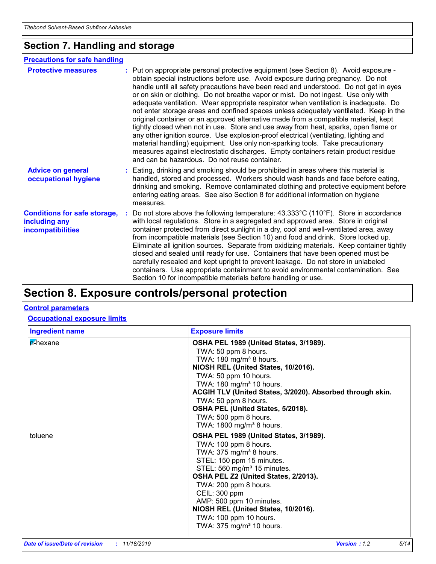### **Section 7. Handling and storage**

#### **Precautions for safe handling**

| <b>Protective measures</b>                                                       | : Put on appropriate personal protective equipment (see Section 8). Avoid exposure -<br>obtain special instructions before use. Avoid exposure during pregnancy. Do not<br>handle until all safety precautions have been read and understood. Do not get in eyes<br>or on skin or clothing. Do not breathe vapor or mist. Do not ingest. Use only with<br>adequate ventilation. Wear appropriate respirator when ventilation is inadequate. Do<br>not enter storage areas and confined spaces unless adequately ventilated. Keep in the<br>original container or an approved alternative made from a compatible material, kept<br>tightly closed when not in use. Store and use away from heat, sparks, open flame or<br>any other ignition source. Use explosion-proof electrical (ventilating, lighting and<br>material handling) equipment. Use only non-sparking tools. Take precautionary<br>measures against electrostatic discharges. Empty containers retain product residue<br>and can be hazardous. Do not reuse container. |  |
|----------------------------------------------------------------------------------|---------------------------------------------------------------------------------------------------------------------------------------------------------------------------------------------------------------------------------------------------------------------------------------------------------------------------------------------------------------------------------------------------------------------------------------------------------------------------------------------------------------------------------------------------------------------------------------------------------------------------------------------------------------------------------------------------------------------------------------------------------------------------------------------------------------------------------------------------------------------------------------------------------------------------------------------------------------------------------------------------------------------------------------|--|
| <b>Advice on general</b><br>occupational hygiene                                 | : Eating, drinking and smoking should be prohibited in areas where this material is<br>handled, stored and processed. Workers should wash hands and face before eating,<br>drinking and smoking. Remove contaminated clothing and protective equipment before<br>entering eating areas. See also Section 8 for additional information on hygiene<br>measures.                                                                                                                                                                                                                                                                                                                                                                                                                                                                                                                                                                                                                                                                         |  |
| <b>Conditions for safe storage,</b><br>including any<br><b>incompatibilities</b> | : Do not store above the following temperature: $43.333^{\circ}$ C (110 $^{\circ}$ F). Store in accordance<br>with local regulations. Store in a segregated and approved area. Store in original<br>container protected from direct sunlight in a dry, cool and well-ventilated area, away<br>from incompatible materials (see Section 10) and food and drink. Store locked up.<br>Eliminate all ignition sources. Separate from oxidizing materials. Keep container tightly<br>closed and sealed until ready for use. Containers that have been opened must be<br>carefully resealed and kept upright to prevent leakage. Do not store in unlabeled<br>containers. Use appropriate containment to avoid environmental contamination. See<br>Section 10 for incompatible materials before handling or use.                                                                                                                                                                                                                            |  |

# **Section 8. Exposure controls/personal protection**

#### **Control parameters**

#### **Occupational exposure limits**

| <b>Ingredient name</b> | <b>Exposure limits</b>                                                                                                                                                                                                                                                                                                                                                                                  |
|------------------------|---------------------------------------------------------------------------------------------------------------------------------------------------------------------------------------------------------------------------------------------------------------------------------------------------------------------------------------------------------------------------------------------------------|
| <b>n</b> -hexane       | OSHA PEL 1989 (United States, 3/1989).<br>TWA: 50 ppm 8 hours.<br>TWA: $180 \text{ mg/m}^3$ 8 hours.<br>NIOSH REL (United States, 10/2016).<br>TWA: 50 ppm 10 hours.<br>TWA: 180 mg/m <sup>3</sup> 10 hours.<br>ACGIH TLV (United States, 3/2020). Absorbed through skin.<br>TWA: 50 ppm 8 hours.<br>OSHA PEL (United States, 5/2018).<br>TWA: 500 ppm 8 hours.<br>TWA: 1800 mg/m <sup>3</sup> 8 hours. |
| toluene                | OSHA PEL 1989 (United States, 3/1989).<br>TWA: 100 ppm 8 hours.<br>TWA: $375$ mg/m <sup>3</sup> 8 hours.<br>STEL: 150 ppm 15 minutes.<br>STEL: 560 mg/m <sup>3</sup> 15 minutes.<br>OSHA PEL Z2 (United States, 2/2013).<br>TWA: 200 ppm 8 hours.<br>CEIL: 300 ppm<br>AMP: 500 ppm 10 minutes.<br>NIOSH REL (United States, 10/2016).<br>TWA: 100 ppm 10 hours.<br>TWA: 375 mg/m <sup>3</sup> 10 hours. |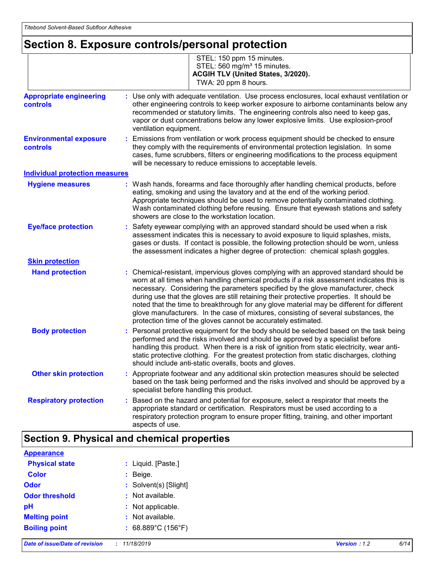# **Section 8. Exposure controls/personal protection**

|                                                   | STEL: 150 ppm 15 minutes.<br>STEL: 560 mg/m <sup>3</sup> 15 minutes.<br>ACGIH TLV (United States, 3/2020).<br>TWA: 20 ppm 8 hours.                                                                                                                                                                                                                                                                                                                                                                                                                                                                                   |
|---------------------------------------------------|----------------------------------------------------------------------------------------------------------------------------------------------------------------------------------------------------------------------------------------------------------------------------------------------------------------------------------------------------------------------------------------------------------------------------------------------------------------------------------------------------------------------------------------------------------------------------------------------------------------------|
| <b>Appropriate engineering</b><br><b>controls</b> | : Use only with adequate ventilation. Use process enclosures, local exhaust ventilation or<br>other engineering controls to keep worker exposure to airborne contaminants below any<br>recommended or statutory limits. The engineering controls also need to keep gas,<br>vapor or dust concentrations below any lower explosive limits. Use explosion-proof<br>ventilation equipment.                                                                                                                                                                                                                              |
| <b>Environmental exposure</b><br>controls         | Emissions from ventilation or work process equipment should be checked to ensure<br>they comply with the requirements of environmental protection legislation. In some<br>cases, fume scrubbers, filters or engineering modifications to the process equipment<br>will be necessary to reduce emissions to acceptable levels.                                                                                                                                                                                                                                                                                        |
| <b>Individual protection measures</b>             |                                                                                                                                                                                                                                                                                                                                                                                                                                                                                                                                                                                                                      |
| <b>Hygiene measures</b>                           | : Wash hands, forearms and face thoroughly after handling chemical products, before<br>eating, smoking and using the lavatory and at the end of the working period.<br>Appropriate techniques should be used to remove potentially contaminated clothing.<br>Wash contaminated clothing before reusing. Ensure that eyewash stations and safety<br>showers are close to the workstation location.                                                                                                                                                                                                                    |
| <b>Eye/face protection</b>                        | Safety eyewear complying with an approved standard should be used when a risk<br>assessment indicates this is necessary to avoid exposure to liquid splashes, mists,<br>gases or dusts. If contact is possible, the following protection should be worn, unless<br>the assessment indicates a higher degree of protection: chemical splash goggles.                                                                                                                                                                                                                                                                  |
| <b>Skin protection</b>                            |                                                                                                                                                                                                                                                                                                                                                                                                                                                                                                                                                                                                                      |
| <b>Hand protection</b>                            | Chemical-resistant, impervious gloves complying with an approved standard should be<br>worn at all times when handling chemical products if a risk assessment indicates this is<br>necessary. Considering the parameters specified by the glove manufacturer, check<br>during use that the gloves are still retaining their protective properties. It should be<br>noted that the time to breakthrough for any glove material may be different for different<br>glove manufacturers. In the case of mixtures, consisting of several substances, the<br>protection time of the gloves cannot be accurately estimated. |
| <b>Body protection</b>                            | Personal protective equipment for the body should be selected based on the task being<br>performed and the risks involved and should be approved by a specialist before<br>handling this product. When there is a risk of ignition from static electricity, wear anti-<br>static protective clothing. For the greatest protection from static discharges, clothing<br>should include anti-static overalls, boots and gloves.                                                                                                                                                                                         |
| <b>Other skin protection</b>                      | : Appropriate footwear and any additional skin protection measures should be selected<br>based on the task being performed and the risks involved and should be approved by a<br>specialist before handling this product.                                                                                                                                                                                                                                                                                                                                                                                            |
| <b>Respiratory protection</b>                     | Based on the hazard and potential for exposure, select a respirator that meets the<br>appropriate standard or certification. Respirators must be used according to a<br>respiratory protection program to ensure proper fitting, training, and other important<br>aspects of use.                                                                                                                                                                                                                                                                                                                                    |

## **Section 9. Physical and chemical properties**

| <b>Appearance</b>     |                                         |
|-----------------------|-----------------------------------------|
| <b>Physical state</b> | : Liquid. [Paste.]                      |
| <b>Color</b>          | : Beige.                                |
| <b>Odor</b>           | : Solvent(s) [Slight]                   |
| <b>Odor threshold</b> | : Not available.                        |
| pH                    | : Not applicable.                       |
| <b>Melting point</b>  | : Not available.                        |
| <b>Boiling point</b>  | : $68.889^{\circ}$ C (156 $^{\circ}$ F) |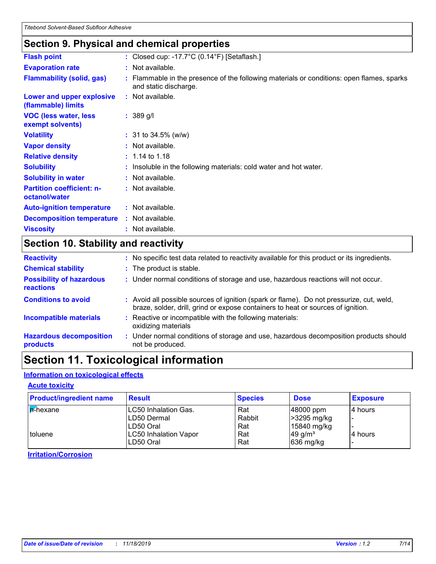### **Section 9. Physical and chemical properties**

| <b>Flash point</b>                                | : Closed cup: -17.7 $\degree$ C (0.14 $\degree$ F) [Setaflash.]                                                    |
|---------------------------------------------------|--------------------------------------------------------------------------------------------------------------------|
| <b>Evaporation rate</b>                           | : Not available.                                                                                                   |
| <b>Flammability (solid, gas)</b>                  | : Flammable in the presence of the following materials or conditions: open flames, sparks<br>and static discharge. |
| Lower and upper explosive<br>(flammable) limits   | : Not available.                                                                                                   |
| <b>VOC (less water, less)</b><br>exempt solvents) | $: 389$ g/l                                                                                                        |
| <b>Volatility</b>                                 | $: 31$ to 34.5% (w/w)                                                                                              |
| <b>Vapor density</b>                              | : Not available.                                                                                                   |
| <b>Relative density</b>                           | $: 1.14$ to 1.18                                                                                                   |
| <b>Solubility</b>                                 | : Insoluble in the following materials: cold water and hot water.                                                  |
| <b>Solubility in water</b>                        | : Not available.                                                                                                   |
| <b>Partition coefficient: n-</b><br>octanol/water | : Not available.                                                                                                   |
| <b>Auto-ignition temperature</b>                  | : Not available.                                                                                                   |
| <b>Decomposition temperature</b>                  | : Not available.                                                                                                   |
| <b>Viscosity</b>                                  | : Not available.                                                                                                   |

### **Section 10. Stability and reactivity**

| <b>Reactivity</b>                                   | No specific test data related to reactivity available for this product or its ingredients.                                                                                   |
|-----------------------------------------------------|------------------------------------------------------------------------------------------------------------------------------------------------------------------------------|
| <b>Chemical stability</b>                           | : The product is stable.                                                                                                                                                     |
| <b>Possibility of hazardous</b><br><b>reactions</b> | : Under normal conditions of storage and use, hazardous reactions will not occur.                                                                                            |
| <b>Conditions to avoid</b>                          | : Avoid all possible sources of ignition (spark or flame). Do not pressurize, cut, weld,<br>braze, solder, drill, grind or expose containers to heat or sources of ignition. |
| Incompatible materials                              | Reactive or incompatible with the following materials:<br>oxidizing materials                                                                                                |
| <b>Hazardous decomposition</b><br>products          | : Under normal conditions of storage and use, hazardous decomposition products should<br>not be produced.                                                                    |

## **Section 11. Toxicological information**

#### **Information on toxicological effects**

#### **Acute toxicity**

| <b>Product/ingredient name</b> | <b>Result</b>                | <b>Species</b> | <b>Dose</b>           | <b>Exposure</b> |
|--------------------------------|------------------------------|----------------|-----------------------|-----------------|
| l <mark>n</mark> -hexane       | <b>LC50 Inhalation Gas.</b>  | Rat            | $ 48000$ ppm          | 4 hours         |
|                                | <b>LD50 Dermal</b>           | Rabbit         | >3295 mg/kg           |                 |
|                                | LD50 Oral                    | Rat            | 15840 mg/kg           |                 |
| toluene                        | <b>LC50 Inhalation Vapor</b> | Rat            | $49$ g/m <sup>3</sup> | l4 hours        |
|                                | LD50 Oral                    | Rat            | $ 636 \text{ mg/kg} $ |                 |

**Irritation/Corrosion**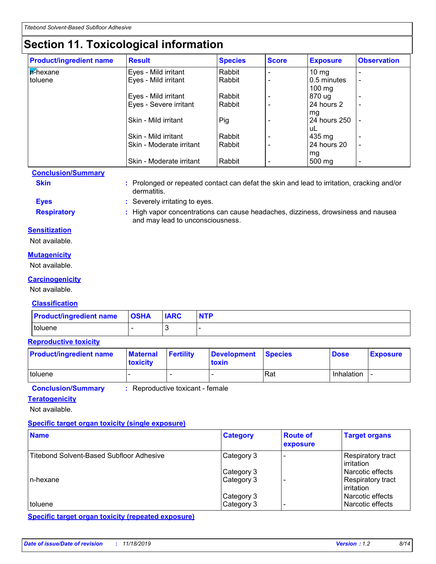# **Section 11. Toxicological information**

| <b>Product/ingredient name</b> | <b>Result</b>            | <b>Species</b> | <b>Score</b> | <b>Exposure</b>  | <b>Observation</b>       |
|--------------------------------|--------------------------|----------------|--------------|------------------|--------------------------|
| <b>A</b> -hexane               | Eyes - Mild irritant     | Rabbit         |              | $10 \text{ mg}$  |                          |
| l toluene                      | Eyes - Mild irritant     | Rabbit         |              | 0.5 minutes      | $\overline{\phantom{a}}$ |
|                                |                          |                |              | $100 \text{ mg}$ |                          |
|                                | Eyes - Mild irritant     | Rabbit         |              | 870 ug           |                          |
|                                | Eyes - Severe irritant   | Rabbit         |              | 24 hours 2       | $\overline{\phantom{0}}$ |
|                                |                          |                |              | mg               |                          |
|                                | Skin - Mild irritant     | Pig            |              | 24 hours 250     |                          |
|                                |                          |                |              | uL               |                          |
|                                | Skin - Mild irritant     | Rabbit         |              | 435 mg           |                          |
|                                | Skin - Moderate irritant | Rabbit         |              | 24 hours 20      | $\overline{\phantom{0}}$ |
|                                |                          |                |              | mg               |                          |
|                                | Skin - Moderate irritant | Rabbit         |              | 500 mg           | $\overline{\phantom{0}}$ |

#### **Conclusion/Summary**

**Skin Example 3 :** Prolonged or repeated contact can defat the skin and lead to irritation, cracking and/or

**Eyes :** Severely irritating to eyes.

dermatitis.

**Respiratory :** High vapor concentrations can cause headaches, dizziness, drowsiness and nausea and may lead to unconsciousness.

#### **Sensitization**

Not available.

#### **Mutagenicity**

Not available.

#### **Carcinogenicity**

Not available.

#### **Classification**

| <b>Product/ingredient name</b> | <b>OSHA</b> | <b>IARC</b> | <b>NTP</b> |
|--------------------------------|-------------|-------------|------------|
| toluene                        |             |             |            |

#### **Reproductive toxicity**

| <b>Product/ingredient name</b> | <b>Maternal</b><br><b>toxicity</b> | <b>Fertility</b> | Development Species<br>toxin |     | <b>Dose</b>       | <b>Exposure</b> |
|--------------------------------|------------------------------------|------------------|------------------------------|-----|-------------------|-----------------|
| toluene                        |                                    |                  |                              | Rat | <b>Inhalation</b> |                 |

**Conclusion/Summary :** Reproductive toxicant - female

### **Teratogenicity**

Not available.

#### **Specific target organ toxicity (single exposure)**

| <b>Name</b>                                     | <b>Category</b>          | <b>Route of</b><br>exposure | <b>Target organs</b>                   |
|-------------------------------------------------|--------------------------|-----------------------------|----------------------------------------|
| <b>Titebond Solvent-Based Subfloor Adhesive</b> | Category 3               |                             | Respiratory tract<br>l irritation      |
|                                                 | Category 3               |                             | l Narcotic effects                     |
| In-hexane                                       | Category 3               |                             | Respiratory tract<br>l irritation      |
| toluene                                         | Category 3<br>Category 3 |                             | Narcotic effects<br>l Narcotic effects |

**Specific target organ toxicity (repeated exposure)**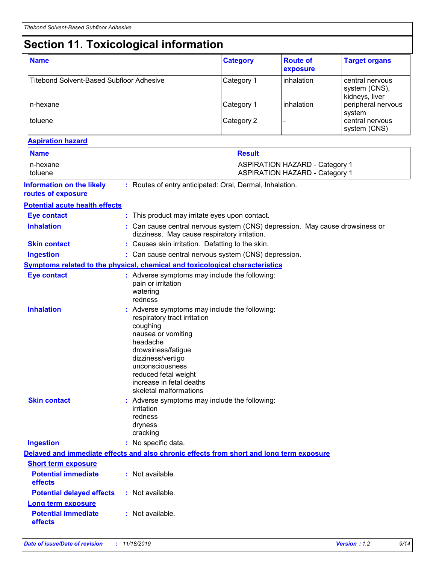# **Section 11. Toxicological information**

| <b>Name</b>                                     | <b>Category</b> | <b>Route of</b><br>exposure | <b>Target organs</b>                               |
|-------------------------------------------------|-----------------|-----------------------------|----------------------------------------------------|
| <b>Titebond Solvent-Based Subfloor Adhesive</b> | Category 1      | inhalation                  | central nervous<br>system (CNS),<br>kidneys, liver |
| n-hexane                                        | Category 1      | inhalation                  | peripheral nervous<br>system                       |
| toluene                                         | Category 2      |                             | central nervous<br>system (CNS)                    |

#### **Aspiration hazard**

| <b>Name</b>                                                 |                                                                                                                                                                                                                                                                         | <b>Result</b>                                                                            |
|-------------------------------------------------------------|-------------------------------------------------------------------------------------------------------------------------------------------------------------------------------------------------------------------------------------------------------------------------|------------------------------------------------------------------------------------------|
| n-hexane<br>toluene                                         |                                                                                                                                                                                                                                                                         | <b>ASPIRATION HAZARD - Category 1</b><br><b>ASPIRATION HAZARD - Category 1</b>           |
| <b>Information on the likely</b><br>routes of exposure      | : Routes of entry anticipated: Oral, Dermal, Inhalation.                                                                                                                                                                                                                |                                                                                          |
| <b>Potential acute health effects</b>                       |                                                                                                                                                                                                                                                                         |                                                                                          |
| <b>Eye contact</b>                                          | : This product may irritate eyes upon contact.                                                                                                                                                                                                                          |                                                                                          |
| <b>Inhalation</b>                                           | dizziness. May cause respiratory irritation.                                                                                                                                                                                                                            | : Can cause central nervous system (CNS) depression. May cause drowsiness or             |
| <b>Skin contact</b>                                         | : Causes skin irritation. Defatting to the skin.                                                                                                                                                                                                                        |                                                                                          |
| <b>Ingestion</b>                                            |                                                                                                                                                                                                                                                                         | : Can cause central nervous system (CNS) depression.                                     |
|                                                             | Symptoms related to the physical, chemical and toxicological characteristics                                                                                                                                                                                            |                                                                                          |
| <b>Eye contact</b>                                          | : Adverse symptoms may include the following:<br>pain or irritation<br>watering<br>redness                                                                                                                                                                              |                                                                                          |
| <b>Inhalation</b>                                           | : Adverse symptoms may include the following:<br>respiratory tract irritation<br>coughing<br>nausea or vomiting<br>headache<br>drowsiness/fatigue<br>dizziness/vertigo<br>unconsciousness<br>reduced fetal weight<br>increase in fetal deaths<br>skeletal malformations |                                                                                          |
| <b>Skin contact</b>                                         | : Adverse symptoms may include the following:<br>irritation<br>redness<br>dryness<br>cracking                                                                                                                                                                           |                                                                                          |
| <b>Ingestion</b>                                            | : No specific data.                                                                                                                                                                                                                                                     |                                                                                          |
|                                                             |                                                                                                                                                                                                                                                                         | Delayed and immediate effects and also chronic effects from short and long term exposure |
| <b>Short term exposure</b>                                  |                                                                                                                                                                                                                                                                         |                                                                                          |
| <b>Potential immediate</b><br>effects                       | : Not available.                                                                                                                                                                                                                                                        |                                                                                          |
| <b>Potential delayed effects</b>                            | : Not available.                                                                                                                                                                                                                                                        |                                                                                          |
| Long term exposure<br><b>Potential immediate</b><br>effects | : Not available.                                                                                                                                                                                                                                                        |                                                                                          |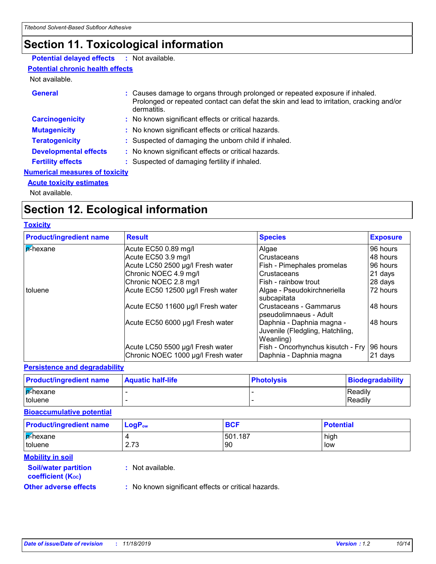# **Section 11. Toxicological information**

#### **Potential delayed effects :** Not available.

#### **Potential chronic health effects**

#### Not available.

| <b>General</b>                        | : Causes damage to organs through prolonged or repeated exposure if inhaled.<br>Prolonged or repeated contact can defat the skin and lead to irritation, cracking and/or<br>dermatitis. |
|---------------------------------------|-----------------------------------------------------------------------------------------------------------------------------------------------------------------------------------------|
|                                       |                                                                                                                                                                                         |
| <b>Carcinogenicity</b>                | : No known significant effects or critical hazards.                                                                                                                                     |
| <b>Mutagenicity</b>                   | : No known significant effects or critical hazards.                                                                                                                                     |
| <b>Teratogenicity</b>                 | : Suspected of damaging the unborn child if inhaled.                                                                                                                                    |
| <b>Developmental effects</b>          | : No known significant effects or critical hazards.                                                                                                                                     |
| <b>Fertility effects</b>              | : Suspected of damaging fertility if inhaled.                                                                                                                                           |
| <b>Numerical measures of toxicity</b> |                                                                                                                                                                                         |
| <b>Acute toxicity estimates</b>       |                                                                                                                                                                                         |

Not available.

## **Section 12. Ecological information**

#### **Toxicity**

| <b>Product/ingredient name</b> | <b>Result</b>                                                          | <b>Species</b>                                                            | <b>Exposure</b>     |
|--------------------------------|------------------------------------------------------------------------|---------------------------------------------------------------------------|---------------------|
| <b>F</b> -hexane               | Acute EC50 0.89 mg/l                                                   | Algae                                                                     | 96 hours            |
|                                | Acute EC50 3.9 mg/l                                                    | Crustaceans                                                               | 48 hours            |
|                                | Acute LC50 2500 µg/l Fresh water                                       | Fish - Pimephales promelas                                                | 96 hours            |
|                                | Chronic NOEC 4.9 mg/l                                                  | Crustaceans                                                               | 21 days             |
|                                | Chronic NOEC 2.8 mg/l                                                  | Fish - rainbow trout                                                      | 28 days             |
| toluene                        | Acute EC50 12500 µg/l Fresh water                                      | Algae - Pseudokirchneriella                                               | 72 hours            |
|                                | Acute EC50 11600 µg/l Fresh water                                      | subcapitata<br>Crustaceans - Gammarus<br>pseudolimnaeus - Adult           | 48 hours            |
|                                | Acute EC50 6000 µg/l Fresh water                                       | Daphnia - Daphnia magna -<br>Juvenile (Fledgling, Hatchling,<br>Weanling) | 48 hours            |
|                                | Acute LC50 5500 µg/l Fresh water<br>Chronic NOEC 1000 µg/l Fresh water | Fish - Oncorhynchus kisutch - Fry<br>Daphnia - Daphnia magna              | 96 hours<br>21 days |

#### **Persistence and degradability**

| <b>Product/ingredient name</b> | <b>Aquatic half-life</b> | ∣PhotoIvsis | <b>Biodegradability</b> |
|--------------------------------|--------------------------|-------------|-------------------------|
| <b>A-hexane</b>                |                          |             | <b>IReadily</b>         |
| toluene                        |                          |             | Readily                 |

#### **Bioaccumulative potential**

| <b>Product/ingredient name</b> | $LogP_{ow}$     | <b>BCF</b>     | <b>Potential</b> |
|--------------------------------|-----------------|----------------|------------------|
| <b>A-hexane</b><br>toluene     | 2.73            | 501.187<br>'90 | high<br>low      |
| <b>Mobility in soil</b>        |                 |                |                  |
| <b>Cailbuston nontifian</b>    | . Not ovojlohlo |                |                  |

**Soil/water partition coefficient (K**<sub>oc</sub>) **:** Not available.

**Other adverse effects** : No known significant effects or critical hazards.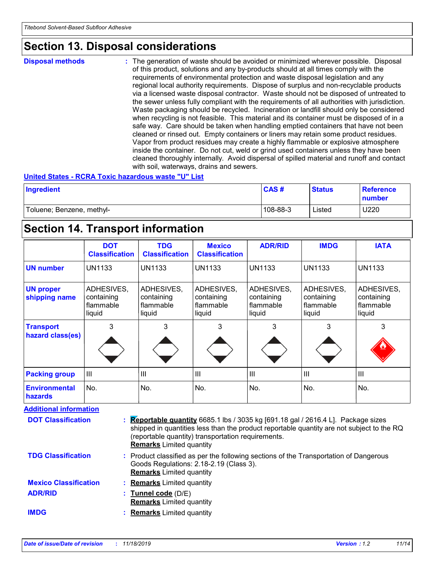### **Section 13. Disposal considerations**

#### **Disposal methods :**

The generation of waste should be avoided or minimized wherever possible. Disposal of this product, solutions and any by-products should at all times comply with the requirements of environmental protection and waste disposal legislation and any regional local authority requirements. Dispose of surplus and non-recyclable products via a licensed waste disposal contractor. Waste should not be disposed of untreated to the sewer unless fully compliant with the requirements of all authorities with jurisdiction. Waste packaging should be recycled. Incineration or landfill should only be considered when recycling is not feasible. This material and its container must be disposed of in a safe way. Care should be taken when handling emptied containers that have not been cleaned or rinsed out. Empty containers or liners may retain some product residues. Vapor from product residues may create a highly flammable or explosive atmosphere inside the container. Do not cut, weld or grind used containers unless they have been cleaned thoroughly internally. Avoid dispersal of spilled material and runoff and contact with soil, waterways, drains and sewers.

#### **United States - RCRA Toxic hazardous waste "U" List**

| Ingredient                | CAS#     | <b>Status</b> | <b>Reference</b><br>number |
|---------------------------|----------|---------------|----------------------------|
| Toluene; Benzene, methyl- | 108-88-3 | Listed        | U220                       |

### **Section 14. Transport information**

|                                        | <b>DOT</b><br><b>Classification</b>             | <b>TDG</b><br><b>Classification</b>             | <b>Mexico</b><br><b>Classification</b>          | <b>ADR/RID</b>                                  | <b>IMDG</b>                                     | <b>IATA</b>                                     |
|----------------------------------------|-------------------------------------------------|-------------------------------------------------|-------------------------------------------------|-------------------------------------------------|-------------------------------------------------|-------------------------------------------------|
| <b>UN number</b>                       | <b>UN1133</b>                                   | <b>UN1133</b>                                   | <b>UN1133</b>                                   | <b>UN1133</b>                                   | <b>UN1133</b>                                   | <b>UN1133</b>                                   |
| <b>UN proper</b><br>shipping name      | ADHESIVES,<br>containing<br>flammable<br>liquid | ADHESIVES,<br>containing<br>flammable<br>liquid | ADHESIVES,<br>containing<br>flammable<br>liquid | ADHESIVES,<br>containing<br>flammable<br>liquid | ADHESIVES,<br>containing<br>flammable<br>liquid | ADHESIVES,<br>containing<br>flammable<br>liquid |
| <b>Transport</b><br>hazard class(es)   | 3                                               | 3                                               | 3                                               | 3                                               | 3                                               | 3                                               |
| <b>Packing group</b>                   | III                                             | III                                             | III                                             | Ш                                               | $\mathbf{III}$                                  | III                                             |
| <b>Environmental</b><br><b>hazards</b> | No.                                             | No.                                             | No.                                             | No.                                             | No.                                             | No.                                             |

**Additional information** 

| <b>DOT Classification</b>    | : Reportable quantity 6685.1 lbs / 3035 kg [691.18 gal / 2616.4 L]. Package sizes<br>shipped in quantities less than the product reportable quantity are not subject to the RQ<br>(reportable quantity) transportation requirements.<br><b>Remarks</b> Limited quantity |
|------------------------------|-------------------------------------------------------------------------------------------------------------------------------------------------------------------------------------------------------------------------------------------------------------------------|
| <b>TDG Classification</b>    | : Product classified as per the following sections of the Transportation of Dangerous<br>Goods Regulations: 2.18-2.19 (Class 3).<br><b>Remarks</b> Limited quantity                                                                                                     |
| <b>Mexico Classification</b> | : Remarks Limited quantity                                                                                                                                                                                                                                              |
| <b>ADR/RID</b>               | : Tunnel code (D/E)<br><b>Remarks</b> Limited quantity                                                                                                                                                                                                                  |
| <b>IMDG</b>                  | : Remarks Limited quantity                                                                                                                                                                                                                                              |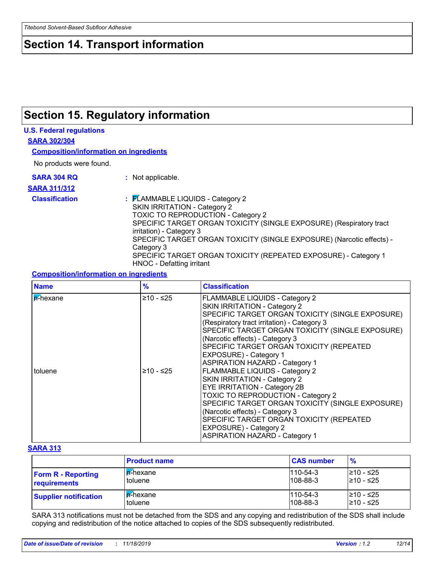### **Section 14. Transport information**

## **Section 15. Regulatory information**

#### **U.S. Federal regulations**

**SARA 302/304**

**Composition/information on ingredients**

No products were found.

**SARA 304 RQ :** Not applicable.

#### **SARA 311/312**

**Classification :** FLAMMABLE LIQUIDS - Category 2 SKIN IRRITATION - Category 2 TOXIC TO REPRODUCTION - Category 2 SPECIFIC TARGET ORGAN TOXICITY (SINGLE EXPOSURE) (Respiratory tract irritation) - Category 3 SPECIFIC TARGET ORGAN TOXICITY (SINGLE EXPOSURE) (Narcotic effects) - Category 3 SPECIFIC TARGET ORGAN TOXICITY (REPEATED EXPOSURE) - Category 1 HNOC - Defatting irritant

#### **Composition/information on ingredients**

| <b>Name</b>      | $\frac{9}{6}$ | <b>Classification</b>                            |
|------------------|---------------|--------------------------------------------------|
| <b>A</b> -hexane | $≥10 - ≤25$   | <b>FLAMMABLE LIQUIDS - Category 2</b>            |
|                  |               | SKIN IRRITATION - Category 2                     |
|                  |               | SPECIFIC TARGET ORGAN TOXICITY (SINGLE EXPOSURE) |
|                  |               | (Respiratory tract irritation) - Category 3      |
|                  |               | SPECIFIC TARGET ORGAN TOXICITY (SINGLE EXPOSURE) |
|                  |               | (Narcotic effects) - Category 3                  |
|                  |               | <b>SPECIFIC TARGET ORGAN TOXICITY (REPEATED)</b> |
|                  |               | EXPOSURE) - Category 1                           |
|                  |               | <b>ASPIRATION HAZARD - Category 1</b>            |
| toluene          | $≥10 - ≤25$   | FLAMMABLE LIQUIDS - Category 2                   |
|                  |               | SKIN IRRITATION - Category 2                     |
|                  |               | <b>EYE IRRITATION - Category 2B</b>              |
|                  |               | TOXIC TO REPRODUCTION - Category 2               |
|                  |               | SPECIFIC TARGET ORGAN TOXICITY (SINGLE EXPOSURE) |
|                  |               | (Narcotic effects) - Category 3                  |
|                  |               | SPECIFIC TARGET ORGAN TOXICITY (REPEATED         |
|                  |               | EXPOSURE) - Category 2                           |
|                  |               | <b>ASPIRATION HAZARD - Category 1</b>            |

#### **SARA 313**

|                              | <b>Product name</b> | <b>CAS number</b> | $\frac{9}{6}$ |
|------------------------------|---------------------|-------------------|---------------|
| <b>Form R - Reporting</b>    | l <b>n</b> -hexane  | $1110 - 54 - 3$   | l≥10 - ≤25    |
| requirements                 | toluene             | $108 - 88 - 3$    | 210 - ≤25     |
| <b>Supplier notification</b> | l <b>n</b> -hexane  | $1110 - 54 - 3$   | l≥10 - ≤25    |
|                              | toluene             | $108 - 88 - 3$    | 210 - ≤25     |

SARA 313 notifications must not be detached from the SDS and any copying and redistribution of the SDS shall include copying and redistribution of the notice attached to copies of the SDS subsequently redistributed.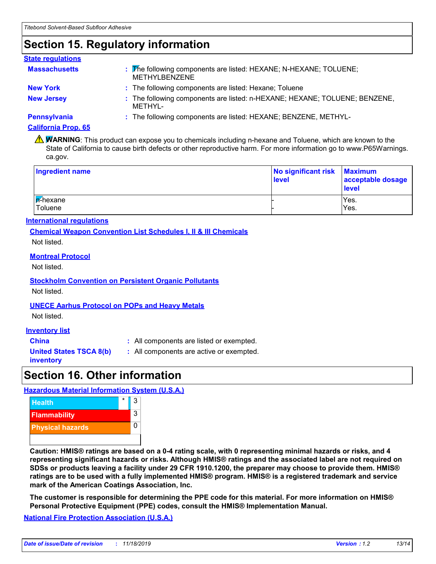# **Section 15. Regulatory information**

#### : The following components are listed: HEXANE; N-HEXANE; TOLUENE; METHYLBENZENE **Massachusetts : New York :** The following components are listed: Hexane; Toluene **New Jersey :** The following components are listed: n-HEXANE; HEXANE; TOLUENE; BENZENE, METHYL-**Pennsylvania :** The following components are listed: HEXANE; BENZENE, METHYL-**State regulations**

#### **California Prop. 65**

**A WARNING**: This product can expose you to chemicals including n-hexane and Toluene, which are known to the State of California to cause birth defects or other reproductive harm. For more information go to www.P65Warnings. ca.gov.

| <b>Ingredient name</b>      | No significant risk<br><b>level</b> | <b>Maximum</b><br>acceptable dosage<br><b>level</b> |
|-----------------------------|-------------------------------------|-----------------------------------------------------|
| <b>In-hexane</b><br>Toluene |                                     | Yes.<br>Yes.                                        |

#### **International regulations**

**Chemical Weapon Convention List Schedules I, II & III Chemicals**

Not listed.

#### **Montreal Protocol**

Not listed.

**Stockholm Convention on Persistent Organic Pollutants** Not listed.

#### **UNECE Aarhus Protocol on POPs and Heavy Metals**

Not listed.

#### **Inventory list**

**China :** All components are listed or exempted.

**United States TSCA 8(b) inventory**

**:** All components are active or exempted.

### **Section 16. Other information**

#### **Hazardous Material Information System (U.S.A.)**



**Caution: HMIS® ratings are based on a 0-4 rating scale, with 0 representing minimal hazards or risks, and 4 representing significant hazards or risks. Although HMIS® ratings and the associated label are not required on SDSs or products leaving a facility under 29 CFR 1910.1200, the preparer may choose to provide them. HMIS® ratings are to be used with a fully implemented HMIS® program. HMIS® is a registered trademark and service mark of the American Coatings Association, Inc.**

**The customer is responsible for determining the PPE code for this material. For more information on HMIS® Personal Protective Equipment (PPE) codes, consult the HMIS® Implementation Manual.**

**National Fire Protection Association (U.S.A.)**